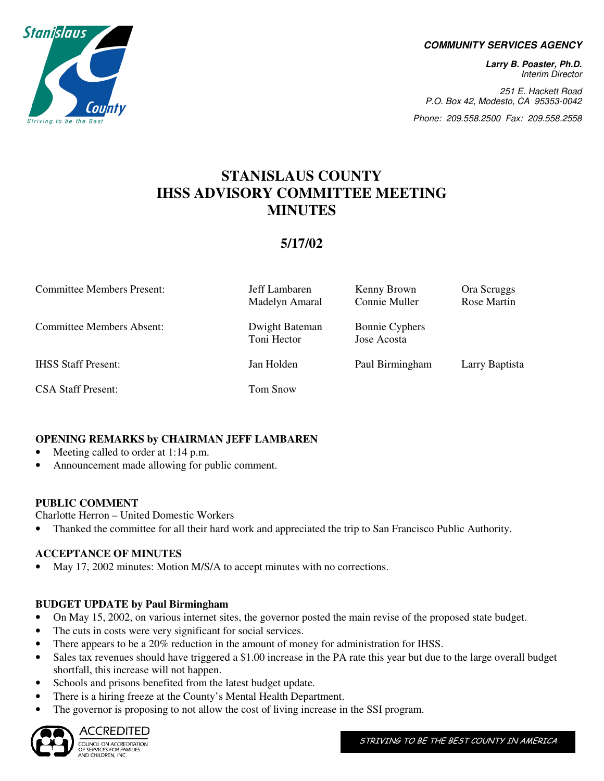

#### **COMMUNITY SERVICES AGENCY**

**Larry B. Poaster, Ph.D.**  Interim Director

251 E. Hackett Road P.O. Box 42, Modesto, CA 95353-0042

Phone: 209.558.2500 Fax: 209.558.2558

# **STANISLAUS COUNTY IHSS ADVISORY COMMITTEE MEETING MINUTES**

# **5/17/02**

| <b>Committee Members Present:</b> | Jeff Lambaren<br>Madelyn Amaral | Kenny Brown<br>Connie Muller         | Ora Scruggs<br>Rose Martin |
|-----------------------------------|---------------------------------|--------------------------------------|----------------------------|
| <b>Committee Members Absent:</b>  | Dwight Bateman<br>Toni Hector   | <b>Bonnie Cyphers</b><br>Jose Acosta |                            |
| <b>IHSS Staff Present:</b>        | Jan Holden                      | Paul Birmingham                      | Larry Baptista             |
| <b>CSA Staff Present:</b>         | Tom Snow                        |                                      |                            |

#### **OPENING REMARKS by CHAIRMAN JEFF LAMBAREN**

• Meeting called to order at 1:14 p.m.

• Announcement made allowing for public comment.

#### **PUBLIC COMMENT**

Charlotte Herron – United Domestic Workers

• Thanked the committee for all their hard work and appreciated the trip to San Francisco Public Authority.

#### **ACCEPTANCE OF MINUTES**

• May 17, 2002 minutes: Motion M/S/A to accept minutes with no corrections.

#### **BUDGET UPDATE by Paul Birmingham**

- On May 15, 2002, on various internet sites, the governor posted the main revise of the proposed state budget.
- The cuts in costs were very significant for social services.
- There appears to be a 20% reduction in the amount of money for administration for IHSS.
- Sales tax revenues should have triggered a \$1.00 increase in the PA rate this year but due to the large overall budget shortfall, this increase will not happen.
- Schools and prisons benefited from the latest budget update.
- There is a hiring freeze at the County's Mental Health Department.
- The governor is proposing to not allow the cost of living increase in the SSI program.